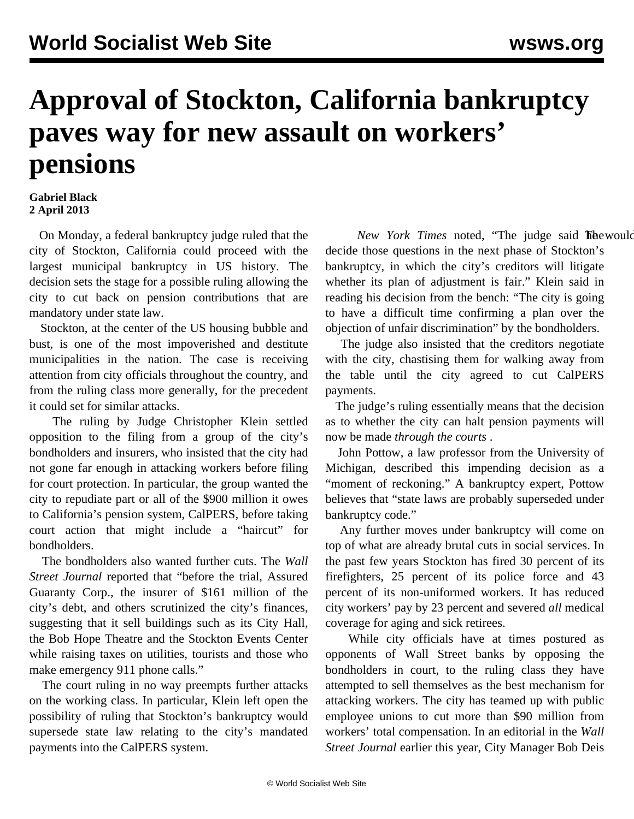## **Approval of Stockton, California bankruptcy paves way for new assault on workers' pensions**

## **Gabriel Black 2 April 2013**

 On Monday, a federal bankruptcy judge ruled that the city of Stockton, California could proceed with the largest municipal bankruptcy in US history. The decision sets the stage for a possible ruling allowing the city to cut back on pension contributions that are mandatory under state law.

 Stockton, at the center of the US housing bubble and bust, is one of the most impoverished and destitute municipalities in the nation. The case is receiving attention from city officials throughout the country, and from the ruling class more generally, for the precedent it could set for similar attacks.

 The ruling by Judge Christopher Klein settled opposition to the filing from a group of the city's bondholders and insurers, who insisted that the city had not gone far enough in attacking workers before filing for court protection. In particular, the group wanted the city to repudiate part or all of the \$900 million it owes to California's pension system, CalPERS, before taking court action that might include a "haircut" for bondholders.

 The bondholders also wanted further cuts. The *Wall Street Journal* reported that "before the trial, Assured Guaranty Corp., the insurer of \$161 million of the city's debt, and others scrutinized the city's finances, suggesting that it sell buildings such as its City Hall, the Bob Hope Theatre and the Stockton Events Center while raising taxes on utilities, tourists and those who make emergency 911 phone calls."

 The court ruling in no way preempts further attacks on the working class. In particular, Klein left open the possibility of ruling that Stockton's bankruptcy would supersede state law relating to the city's mandated payments into the CalPERS system.

New York Times noted, "The judge said **The would** decide those questions in the next phase of Stockton's bankruptcy, in which the city's creditors will litigate whether its plan of adjustment is fair." Klein said in reading his decision from the bench: "The city is going to have a difficult time confirming a plan over the objection of unfair discrimination" by the bondholders.

 The judge also insisted that the creditors negotiate with the city, chastising them for walking away from the table until the city agreed to cut CalPERS payments.

 The judge's ruling essentially means that the decision as to whether the city can halt pension payments will now be made *through the courts* .

 John Pottow, a law professor from the University of Michigan, described this impending decision as a "moment of reckoning." A bankruptcy expert, Pottow believes that "state laws are probably superseded under bankruptcy code."

 Any further moves under bankruptcy will come on top of what are already brutal cuts in social services. In the past few years Stockton has fired 30 percent of its firefighters, 25 percent of its police force and 43 percent of its non-uniformed workers. It has reduced city workers' pay by 23 percent and severed *all* medical coverage for aging and sick retirees.

 While city officials have at times postured as opponents of Wall Street banks by opposing the bondholders in court, to the ruling class they have attempted to sell themselves as the best mechanism for attacking workers. The city has teamed up with public employee unions to cut more than \$90 million from workers' total compensation. In an editorial in the *Wall Street Journal* earlier this year, City Manager Bob Deis